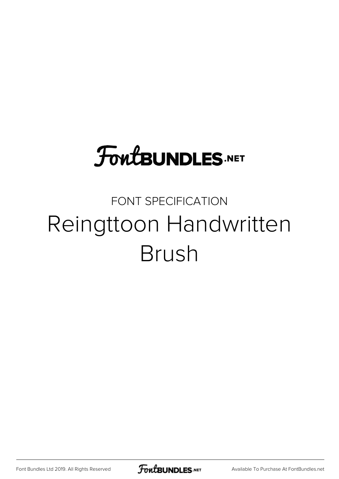## **FoutBUNDLES.NET**

## FONT SPECIFICATION Reingttoon Handwritten Brush

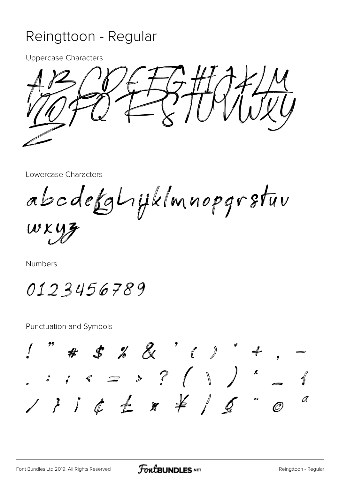## Reingttoon - Regular

**Uppercase Characters** 



Lowercase Characters

abcdefghijklmnopgrstuv

WXYZ

Numbers

0123456789

**Punctuation and Symbols** 

# \$ % & '()  $\therefore$  ,  $\leq$  > ? (  $\|$  )  $\leq$  $\overline{a}$ O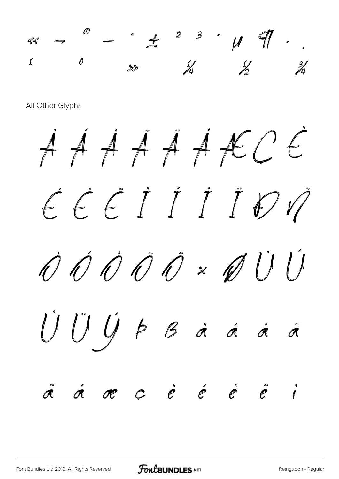« ¬ ® ¯ ° ± ² ³ ´ µ ¶ · ¸  $\frac{1}{2}$   $\frac{0}{38}$   $\frac{1}{4}$   $\frac{1}{2}$   $\frac{3}{4}$ 

All Other Glyphs

À Á Â Ã Ä Å Æ Ç È É Ê Ë Ì Í Î Ï Ð Ñ  $\dot{\mathcal{O}}$   $\dot{\mathcal{O}}$   $\dot{\mathcal{O}}$   $\dot{\mathcal{O}}$   $\times$   $\dot{\mathcal{O}}$   $\dot{\mathcal{O}}$   $\dot{\mathcal{O}}$ Û Ü Ý Þ ß à á â ã ä å æ ç è é ê ë ì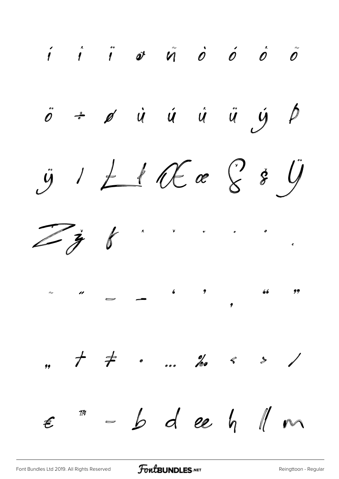$\begin{array}{ccccccccccccc} \textbf{\textit{i}} & \textbf{\textit{i}} & \textbf{\textit{i}} & \textbf{\textit{0}} & \textbf{\textit{0}} & \textbf{\textit{0}} & \textbf{\textit{0}} & \textbf{\textit{0}} & \textbf{\textit{0}} & \textbf{\textit{0}} & \textbf{\textit{0}} & \textbf{\textit{0}} & \textbf{\textit{0}} & \textbf{\textit{0}} & \textbf{\textit{0}} & \textbf{\textit{0}} & \textbf{\textit{0}} & \textbf{\textit{0}} & \textbf{\textit{0}} & \textbf{\textit{0}} & \textbf{\textit{0}} & \textbf$  $\ddot{o}$  +  $\rho$   $\dot{u}$   $\dot{u}$   $\dot{u}$   $\ddot{u}$   $\dot{y}$   $\beta$  $\ddot{y}$  /  $\pm$  if  $\theta$  a  $\theta$  if  $\ddot{y}$  $\mathscr{C}$  $\mathbb{Z}$   $\mathbf{y}$  $\lambda$  $\sim$   $\qquad$   $\sim$   $\qquad$   $\sim$   $\qquad$   $\qquad$   $\qquad$   $\qquad$   $\qquad$   $\qquad$   $\qquad$   $\qquad$   $\qquad$   $\qquad$   $\qquad$   $\qquad$   $\qquad$   $\qquad$   $\qquad$   $\qquad$   $\qquad$   $\qquad$   $\qquad$   $\qquad$   $\qquad$   $\qquad$   $\qquad$   $\qquad$   $\qquad$   $\qquad$   $\qquad$   $\qquad$   $\qquad$   $\qquad$   $\qquad$   $\qquad$   $\$  $\sqrt[m]{b}$  deep  $\sqrt[m]{m}$  $\bm{\epsilon}$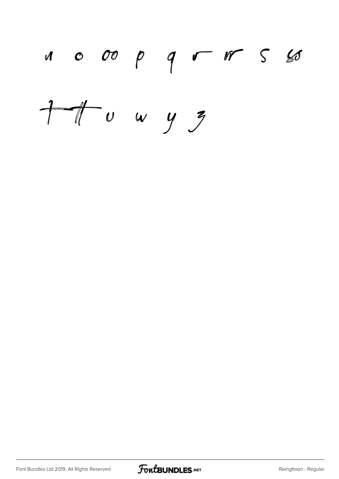

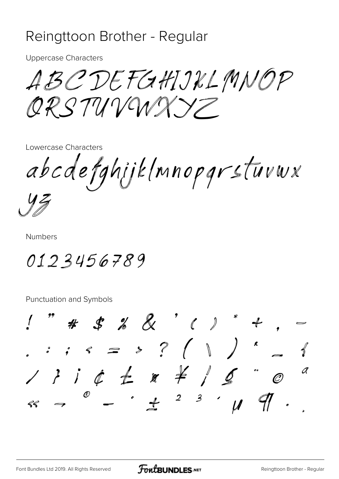## Reingttoon Brother - Regular

**Uppercase Characters** 

ABCDEFGHIJKLMNOP ORSTUVUNXY

Lowercase Characters

abcdefghijk(mnopgrstuvwx

**Numbers** 

0123456789

Punctuation and Symbols

 $1$  " # \$ % & ' ( ) \* +  $\therefore$  ,  $\leq$   $\Rightarrow$  ? (  $\|$  )  $\leq$  $1314\pm x\neq160$  $\overline{a}$  $^{\circledR}$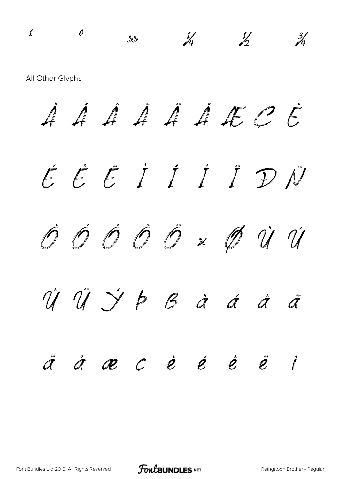$\frac{1}{2}$   $\frac{1}{2}$   $\frac{3}{4}$ All Other Glyphs À Á Â Ã Ä Å Æ Ç È É Ê Ë Ì Í Î Ï Ð Ñ Ò Ó Ô Õ Ö × Ø Ù Ú Û Ü Ý Þ ß à á â ã ä å æ ç è é ê ë ì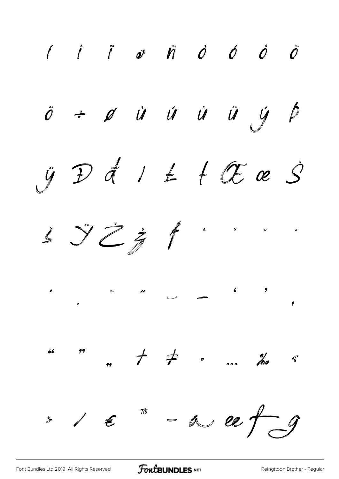$\begin{array}{ccccccccccccc} \hat{f} & \hat{f} & \hat{g} & \hat{g} & \hat{g} & \hat{g} & \hat{g} & \hat{g} & \hat{g} & \hat{g} & \hat{g} & \hat{g} & \hat{g} & \hat{g} & \hat{g} & \hat{g} & \hat{g} & \hat{g} & \hat{g} & \hat{g} & \hat{g} & \hat{g} & \hat{g} & \hat{g} & \hat{g} & \hat{g} & \hat{g} & \hat{g} & \hat{g} & \hat{g} & \hat{g} & \hat{g} & \hat{g} & \hat{g} & \hat{g} &$ ö ÷ ø ù ú ů ů ý þ  $\ddot{y}$  D d  $1$   $\pm$   $+$  O c  $\dot{S}$  $\dot{\mathcal{S}}$   $\ddot{\mathcal{S}}$   $\ddot{\mathcal{Z}}$   $\dot{\mathcal{J}}$  $\lambda$  $\boldsymbol{\mathfrak{o}}$  $\pmb{66}$  $\rightarrow$  /  $\epsilon$  " = a ce f g